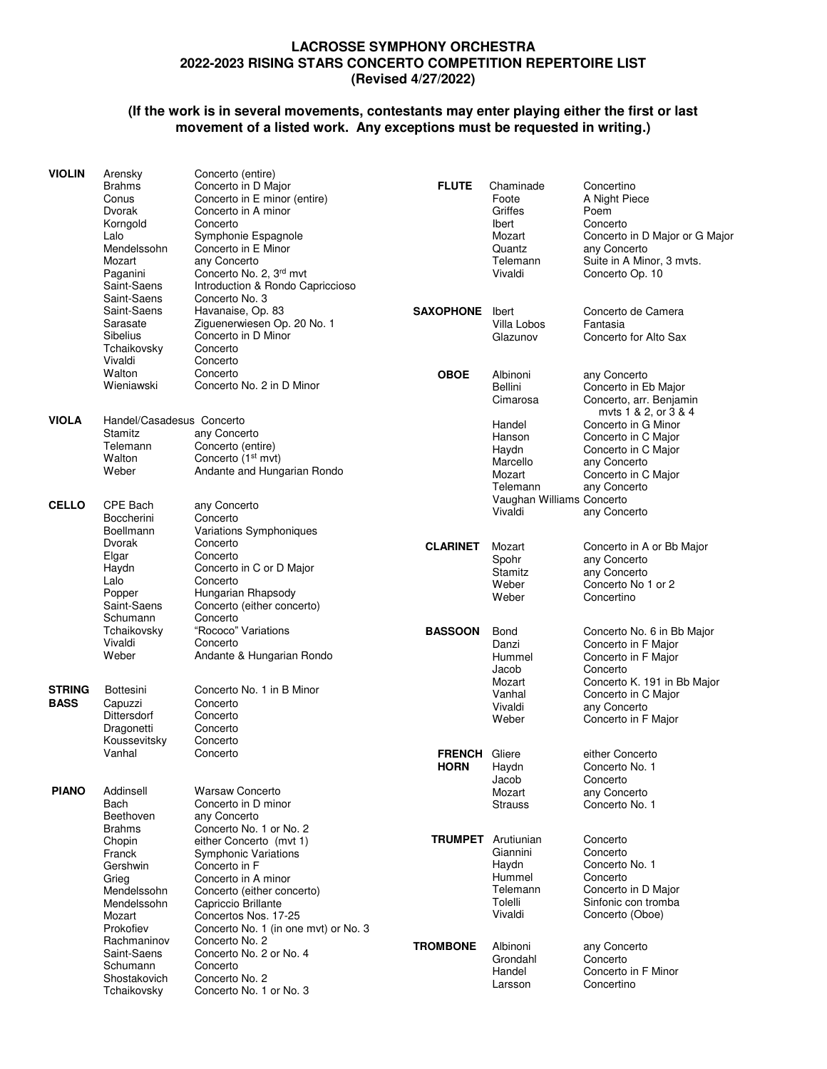## **LACROSSE SYMPHONY ORCHESTRA 2022-2023 RISING STARS CONCERTO COMPETITION REPERTOIRE LIST (Revised 4/27/2022)**

## **(If the work is in several movements, contestants may enter playing either the first or last movement of a listed work. Any exceptions must be requested in writing.)**

| <b>VIOLIN</b>                | Arensky<br><b>Brahms</b><br>Conus<br>Dvorak<br>Korngold<br>Lalo<br>Mendelssohn<br>Mozart<br>Paganini<br>Saint-Saens<br>Saint-Saens<br>Saint-Saens | Concerto (entire)<br>Concerto in D Major<br>Concerto in E minor (entire)<br>Concerto in A minor<br>Concerto<br>Symphonie Espagnole<br>Concerto in E Minor<br>any Concerto<br>Concerto No. 2, 3rd mvt<br>Introduction & Rondo Capriccioso<br>Concerto No. 3<br>Havanaise, Op. 83 | <b>FLUTE</b><br><b>SAXOPHONE</b> | Chaminade<br>Foote<br>Griffes<br>Ibert<br>Mozart<br>Quantz<br>Telemann<br>Vivaldi<br>Ibert | Concertino<br>A Night Piece<br>Poem<br>Concerto<br>Concerto in D Major or G Major<br>any Concerto<br>Suite in A Minor, 3 mvts.<br>Concerto Op. 10<br>Concerto de Camera |
|------------------------------|---------------------------------------------------------------------------------------------------------------------------------------------------|---------------------------------------------------------------------------------------------------------------------------------------------------------------------------------------------------------------------------------------------------------------------------------|----------------------------------|--------------------------------------------------------------------------------------------|-------------------------------------------------------------------------------------------------------------------------------------------------------------------------|
|                              | Sarasate<br>Sibelius<br>Tchaikovsky<br>Vivaldi                                                                                                    | Ziguenerwiesen Op. 20 No. 1<br>Concerto in D Minor<br>Concerto<br>Concerto                                                                                                                                                                                                      |                                  | Villa Lobos<br>Glazunov                                                                    | Fantasia<br>Concerto for Alto Sax                                                                                                                                       |
|                              | Walton<br>Wieniawski                                                                                                                              | Concerto<br>Concerto No. 2 in D Minor                                                                                                                                                                                                                                           | <b>OBOE</b>                      | Albinoni<br>Bellini<br>Cimarosa                                                            | any Concerto<br>Concerto in Eb Major<br>Concerto, arr. Benjamin<br>mvts 1 & 2, or 3 & 4                                                                                 |
| <b>VIOLA</b>                 | Handel/Casadesus Concerto<br><b>Stamitz</b><br>Telemann<br>Walton<br>Weber                                                                        | any Concerto<br>Concerto (entire)<br>Concerto (1 <sup>st</sup> mvt)<br>Andante and Hungarian Rondo                                                                                                                                                                              |                                  | Handel<br>Hanson<br>Haydn<br>Marcello<br>Mozart<br>Telemann                                | Concerto in G Minor<br>Concerto in C Major<br>Concerto in C Major<br>any Concerto<br>Concerto in C Major<br>any Concerto                                                |
| <b>CELLO</b>                 | CPE Bach<br>Boccherini<br>Boellmann<br>Dvorak                                                                                                     | any Concerto<br>Concerto<br>Variations Symphoniques<br>Concerto                                                                                                                                                                                                                 | <b>CLARINET</b>                  | Vaughan Williams Concerto<br>Vivaldi<br>Mozart                                             | any Concerto<br>Concerto in A or Bb Major                                                                                                                               |
|                              | Elgar<br>Haydn<br>Lalo<br>Popper<br>Saint-Saens<br>Schumann                                                                                       | Concerto<br>Concerto in C or D Major<br>Concerto<br>Hungarian Rhapsody<br>Concerto (either concerto)<br>Concerto                                                                                                                                                                |                                  | Spohr<br>Stamitz<br>Weber<br>Weber                                                         | any Concerto<br>any Concerto<br>Concerto No 1 or 2<br>Concertino                                                                                                        |
|                              | Tchaikovsky<br>Vivaldi<br>Weber                                                                                                                   | "Rococo" Variations<br>Concerto<br>Andante & Hungarian Rondo                                                                                                                                                                                                                    | <b>BASSOON</b>                   | Bond<br>Danzi<br>Hummel<br>Jacob<br>Mozart                                                 | Concerto No. 6 in Bb Major<br>Concerto in F Major<br>Concerto in F Major<br>Concerto<br>Concerto K. 191 in Bb Major                                                     |
| <b>STRING</b><br><b>BASS</b> | <b>Bottesini</b><br>Capuzzi<br><b>Dittersdorf</b><br>Dragonetti<br>Koussevitsky                                                                   | Concerto No. 1 in B Minor<br>Concerto<br>Concerto<br>Concerto<br>Concerto                                                                                                                                                                                                       |                                  | Vanhal<br>Vivaldi<br>Weber                                                                 | Concerto in C Major<br>any Concerto<br>Concerto in F Major                                                                                                              |
|                              | Vanhal                                                                                                                                            | Concerto                                                                                                                                                                                                                                                                        | <b>FRENCH</b><br><b>HORN</b>     | Gliere<br>Haydn<br>Jacob                                                                   | either Concerto<br>Concerto No. 1<br>Concerto                                                                                                                           |
| <b>PIANO</b>                 | Addinsell<br>Bach<br>Beethoven<br><b>Brahms</b>                                                                                                   | <b>Warsaw Concerto</b><br>Concerto in D minor<br>any Concerto<br>Concerto No. 1 or No. 2                                                                                                                                                                                        |                                  | Mozart<br><b>Strauss</b>                                                                   | any Concerto<br>Concerto No. 1                                                                                                                                          |
|                              | Chopin<br>Franck<br>Gershwin<br>Grieg<br>Mendelssohn<br>Mendelssohn<br>Mozart<br>Prokofiev                                                        | either Concerto (mvt 1)<br><b>Symphonic Variations</b><br>Concerto in F<br>Concerto in A minor<br>Concerto (either concerto)<br>Capriccio Brillante<br>Concertos Nos. 17-25<br>Concerto No. 1 (in one mvt) or No. 3                                                             |                                  | <b>TRUMPET</b> Arutiunian<br>Giannini<br>Haydn<br>Hummel<br>Telemann<br>Tolelli<br>Vivaldi | Concerto<br>Concerto<br>Concerto No. 1<br>Concerto<br>Concerto in D Major<br>Sinfonic con tromba<br>Concerto (Oboe)                                                     |
|                              | Rachmaninov<br>Saint-Saens<br>Schumann<br>Shostakovich<br>Tchaikovsky                                                                             | Concerto No. 2<br>Concerto No. 2 or No. 4<br>Concerto<br>Concerto No. 2<br>Concerto No. 1 or No. 3                                                                                                                                                                              | <b>TROMBONE</b>                  | Albinoni<br>Grondahl<br>Handel<br>Larsson                                                  | any Concerto<br>Concerto<br>Concerto in F Minor<br>Concertino                                                                                                           |